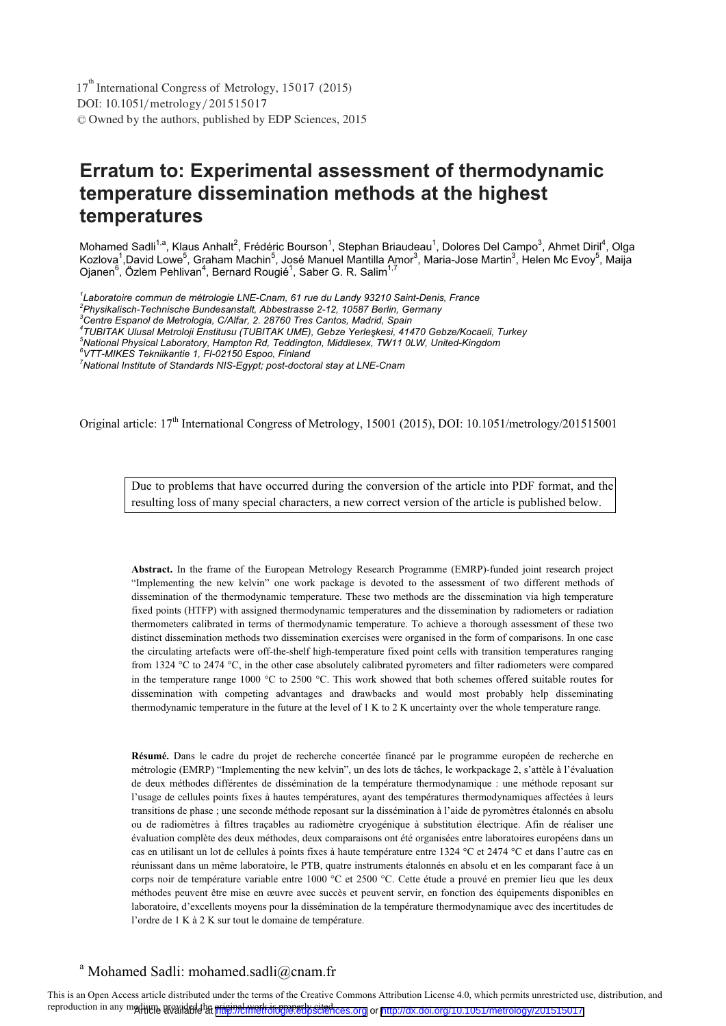DOI: 10.1051/ metrology/2015 15017 -<sup>C</sup> Owned by the authors, published by EDP Sciences, 2015  $17<sup>th</sup>$  International Congress of Metrology, 15017 (2015)

# **Erratum to: Experimental assessment of thermodynamic temperature dissemination methods at the highest temperatures**

Mohamed Sadli<sup>1,a</sup>, Klaus Anhalt<sup>2</sup>, Frédéric Bourson<sup>1</sup>, Stephan Briaudeau<sup>1</sup>, Dolores Del Campo<sup>3</sup>, Ahmet Dir<u>i</u>l<sup>4</sup>, Olga Kozlova<sup>1</sup>,David Lowe<sup>5</sup>, Graham Machin<sup>5</sup>, José Manuel Mantilla Amor<sup>3</sup>, Maria-Jose Martin<sup>3</sup>, Helen Mc Evoy<sup>5</sup>, Maija Ojanen<sup>6</sup>, Özlem Pehlivan<sup>4</sup>, Bernard Rougié<sup>1</sup>, Saber G. R. Salim<sup>1,7</sup>

*1 Laboratoire commun de métrologie LNE-Cnam, 61 rue du Landy 93210 Saint-Denis, France* 

*4 TUBITAK Ulusal Metroloji Enstitusu (TUBITAK UME), Gebze Yerle-kesi, 41470 Gebze/Kocaeli, Turkey* 

Original article: 17<sup>th</sup> International Congress of Metrology, 15001 (2015), DOI: 10.1051/metrology/201515001

Due to problems that have occurred during the conversion of the article into PDF format, and the resulting loss of many special characters, a new correct version of the article is published below.

**Abstract.** In the frame of the European Metrology Research Programme (EMRP)-funded joint research project "Implementing the new kelvin" one work package is devoted to the assessment of two different methods of dissemination of the thermodynamic temperature. These two methods are the dissemination via high temperature fixed points (HTFP) with assigned thermodynamic temperatures and the dissemination by radiometers or radiation thermometers calibrated in terms of thermodynamic temperature. To achieve a thorough assessment of these two distinct dissemination methods two dissemination exercises were organised in the form of comparisons. In one case the circulating artefacts were off-the-shelf high-temperature fixed point cells with transition temperatures ranging from 1324 °C to 2474 °C, in the other case absolutely calibrated pyrometers and filter radiometers were compared in the temperature range 1000 °C to 2500 °C. This work showed that both schemes offered suitable routes for dissemination with competing advantages and drawbacks and would most probably help disseminating thermodynamic temperature in the future at the level of 1 K to 2 K uncertainty over the whole temperature range.

**Résumé.** Dans le cadre du projet de recherche concertée financé par le programme européen de recherche en métrologie (EMRP) "Implementing the new kelvin", un des lots de tâches, le workpackage 2, s'attèle à l'évaluation de deux méthodes différentes de dissémination de la température thermodynamique : une méthode reposant sur l'usage de cellules points fixes à hautes températures, ayant des températures thermodynamiques affectées à leurs transitions de phase ; une seconde méthode reposant sur la dissémination à l'aide de pyromètres étalonnés en absolu ou de radiomètres à filtres traçables au radiomètre cryogénique à substitution électrique. Afin de réaliser une évaluation complète des deux méthodes, deux comparaisons ont été organisées entre laboratoires européens dans un cas en utilisant un lot de cellules à points fixes à haute température entre 1324 °C et 2474 °C et dans l'autre cas en réunissant dans un même laboratoire, le PTB, quatre instruments étalonnés en absolu et en les comparant face à un corps noir de température variable entre 1000 °C et 2500 °C. Cette étude a prouvé en premier lieu que les deux méthodes peuvent être mise en œuvre avec succès et peuvent servir, en fonction des équipements disponibles en laboratoire, d'excellents moyens pour la dissémination de la température thermodynamique avec des incertitudes de l'ordre de 1 K à 2 K sur tout le domaine de température.

# a Mohamed Sadli: mohamed.sadli@cnam.fr

This is an Open Access article distributed under the terms of the Creative Commons Attribution License 4.0, which permits unrestricted use, distribution, and reproduction in any medium, provided the original work is properly sciences.org or <http://dx.doi.org/10.1051/metrology/201515017>

*<sup>2</sup> Physikalisch-Technische Bundesanstalt, Abbestrasse 2-12, 10587 Berlin, Germany* 

*<sup>3</sup> Centre Espanol de Metrologia, C/Alfar, 2. 28760 Tres Cantos, Madrid, Spain* 

*<sup>5</sup> National Physical Laboratory, Hampton Rd, Teddington, Middlesex, TW11 0LW, United-Kingdom* 

*<sup>6</sup> VTT-MIKES Tekniikantie 1, FI-02150 Espoo, Finland* 

*<sup>7</sup> National Institute of Standards NIS-Egypt; post-doctoral stay at LNE-Cnam*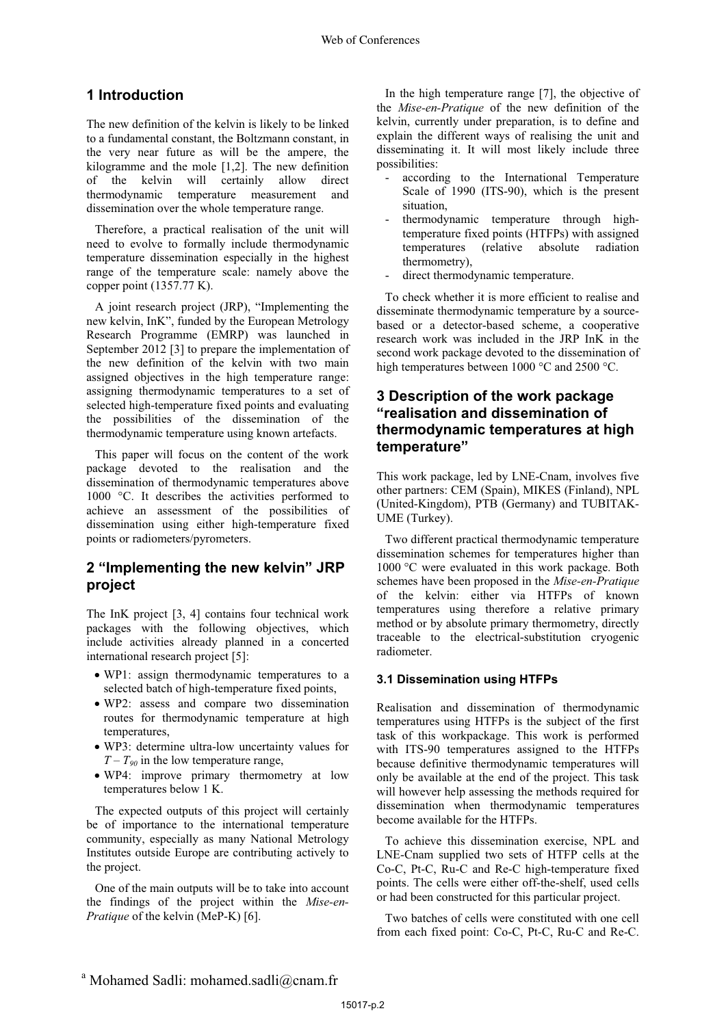# **1 Introduction**

The new definition of the kelvin is likely to be linked to a fundamental constant, the Boltzmann constant, in the very near future as will be the ampere, the kilogramme and the mole [1,2]. The new definition of the kelvin will certainly allow direct thermodynamic temperature measurement and dissemination over the whole temperature range.

 Therefore, a practical realisation of the unit will need to evolve to formally include thermodynamic temperature dissemination especially in the highest range of the temperature scale: namely above the copper point (1357.77 K).

 A joint research project (JRP), "Implementing the new kelvin, InK", funded by the European Metrology Research Programme (EMRP) was launched in September 2012 [3] to prepare the implementation of the new definition of the kelvin with two main assigned objectives in the high temperature range: assigning thermodynamic temperatures to a set of selected high-temperature fixed points and evaluating the possibilities of the dissemination of the thermodynamic temperature using known artefacts.

 This paper will focus on the content of the work package devoted to the realisation and the dissemination of thermodynamic temperatures above 1000 °C. It describes the activities performed to achieve an assessment of the possibilities of dissemination using either high-temperature fixed points or radiometers/pyrometers.

## **2 "Implementing the new kelvin" JRP project**

The InK project [3, 4] contains four technical work packages with the following objectives, which include activities already planned in a concerted international research project [5]:

- WP1: assign thermodynamic temperatures to a selected batch of high-temperature fixed points,
- WP2: assess and compare two dissemination routes for thermodynamic temperature at high temperatures,
- WP3: determine ultra-low uncertainty values for  $T - T_{90}$  in the low temperature range,
- WP4: improve primary thermometry at low temperatures below 1 K.

 The expected outputs of this project will certainly be of importance to the international temperature community, especially as many National Metrology Institutes outside Europe are contributing actively to the project.

 One of the main outputs will be to take into account the findings of the project within the *Mise-en-Pratique* of the kelvin (MeP-K) [6].

In the high temperature range [7], the objective of the *Mise-en-Pratique* of the new definition of the kelvin, currently under preparation, is to define and explain the different ways of realising the unit and disseminating it. It will most likely include three possibilities:

- according to the International Temperature Scale of 1990 (ITS-90), which is the present situation,
- thermodynamic temperature through hightemperature fixed points (HTFPs) with assigned<br>temperatures (relative absolute radiation (relative absolute radiation thermometry),
- direct thermodynamic temperature.

 To check whether it is more efficient to realise and disseminate thermodynamic temperature by a sourcebased or a detector-based scheme, a cooperative research work was included in the JRP InK in the second work package devoted to the dissemination of high temperatures between 1000 °C and 2500 °C.

### **3 Description of the work package "realisation and dissemination of thermodynamic temperatures at high temperature"**

This work package, led by LNE-Cnam, involves five other partners: CEM (Spain), MIKES (Finland), NPL (United-Kingdom), PTB (Germany) and TUBITAK-UME (Turkey).

 Two different practical thermodynamic temperature dissemination schemes for temperatures higher than 1000 °C were evaluated in this work package. Both schemes have been proposed in the *Mise-en-Pratique* of the kelvin: either via HTFPs of known temperatures using therefore a relative primary method or by absolute primary thermometry, directly traceable to the electrical-substitution cryogenic radiometer.

#### **3.1 Dissemination using HTFPs**

Realisation and dissemination of thermodynamic temperatures using HTFPs is the subject of the first task of this workpackage. This work is performed with ITS-90 temperatures assigned to the HTFPs because definitive thermodynamic temperatures will only be available at the end of the project. This task will however help assessing the methods required for dissemination when thermodynamic temperatures become available for the HTFPs.

 To achieve this dissemination exercise, NPL and LNE-Cnam supplied two sets of HTFP cells at the Co-C, Pt-C, Ru-C and Re-C high-temperature fixed points. The cells were either off-the-shelf, used cells or had been constructed for this particular project.

 Two batches of cells were constituted with one cell from each fixed point: Co-C, Pt-C, Ru-C and Re-C.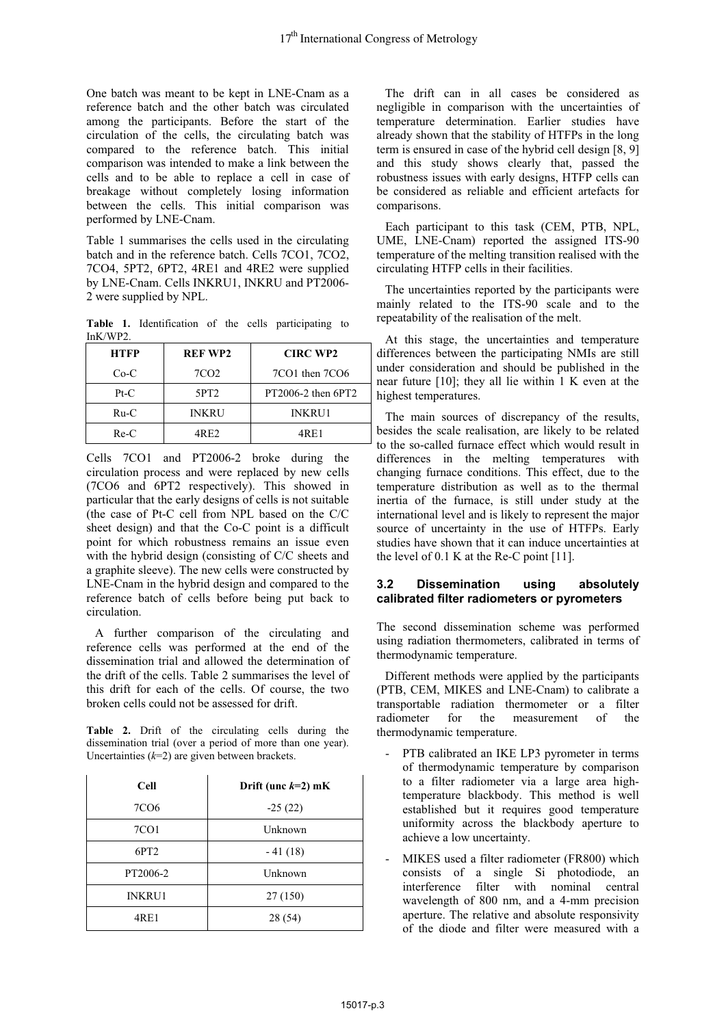One batch was meant to be kept in LNE-Cnam as a reference batch and the other batch was circulated among the participants. Before the start of the circulation of the cells, the circulating batch was compared to the reference batch. This initial comparison was intended to make a link between the cells and to be able to replace a cell in case of breakage without completely losing information between the cells. This initial comparison was performed by LNE-Cnam.

Table 1 summarises the cells used in the circulating batch and in the reference batch. Cells 7CO1, 7CO2, 7CO4, 5PT2, 6PT2, 4RE1 and 4RE2 were supplied by LNE-Cnam. Cells INKRU1, INKRU and PT2006- 2 were supplied by NPL.

**Table 1.** Identification of the cells participating to InK/WP2.

| <b>HTFP</b> | <b>REF WP2</b>   | <b>CIRC WP2</b>        |
|-------------|------------------|------------------------|
| $Co-C$      | 7CO <sub>2</sub> | 7CO1 then 7CO6         |
| $Pt-C$      | 5PT <sub>2</sub> | $PT2006-2$ then $6PT2$ |
| $Ru-C$      | <b>INKRU</b>     | <b>INKRU1</b>          |
| $Re-C$      | 4RE2             | 4RE1                   |

Cells 7CO1 and PT2006-2 broke during the circulation process and were replaced by new cells (7CO6 and 6PT2 respectively). This showed in particular that the early designs of cells is not suitable (the case of Pt-C cell from NPL based on the C/C sheet design) and that the Co-C point is a difficult point for which robustness remains an issue even with the hybrid design (consisting of C/C sheets and a graphite sleeve). The new cells were constructed by LNE-Cnam in the hybrid design and compared to the reference batch of cells before being put back to circulation.

 A further comparison of the circulating and reference cells was performed at the end of the dissemination trial and allowed the determination of the drift of the cells. Table 2 summarises the level of this drift for each of the cells. Of course, the two broken cells could not be assessed for drift.

**Table 2.** Drift of the circulating cells during the dissemination trial (over a period of more than one year). Uncertainties (*k*=2) are given between brackets.

| <b>Cell</b>      | Drift (unc $k=2$ ) mK |
|------------------|-----------------------|
| 7CO <sub>6</sub> | $-25(22)$             |
| 7CO1             | Unknown               |
| 6PT <sub>2</sub> | $-41(18)$             |
| PT2006-2         | Unknown               |
| <b>INKRU1</b>    | 27 (150)              |
| 4RE1             | 28 (54)               |

 The drift can in all cases be considered as negligible in comparison with the uncertainties of temperature determination. Earlier studies have already shown that the stability of HTFPs in the long term is ensured in case of the hybrid cell design [8, 9] and this study shows clearly that, passed the robustness issues with early designs, HTFP cells can be considered as reliable and efficient artefacts for comparisons.

 Each participant to this task (CEM, PTB, NPL, UME, LNE-Cnam) reported the assigned ITS-90 temperature of the melting transition realised with the circulating HTFP cells in their facilities.

 The uncertainties reported by the participants were mainly related to the ITS-90 scale and to the repeatability of the realisation of the melt.

 At this stage, the uncertainties and temperature differences between the participating NMIs are still under consideration and should be published in the near future [10]; they all lie within 1 K even at the highest temperatures.

 The main sources of discrepancy of the results, besides the scale realisation, are likely to be related to the so-called furnace effect which would result in differences in the melting temperatures with changing furnace conditions. This effect, due to the temperature distribution as well as to the thermal inertia of the furnace, is still under study at the international level and is likely to represent the major source of uncertainty in the use of HTFPs. Early studies have shown that it can induce uncertainties at the level of 0.1 K at the Re-C point [11].

#### **3.2 Dissemination using absolutely calibrated filter radiometers or pyrometers**

The second dissemination scheme was performed using radiation thermometers, calibrated in terms of thermodynamic temperature.

 Different methods were applied by the participants (PTB, CEM, MIKES and LNE-Cnam) to calibrate a transportable radiation thermometer or a filter radiometer for the measurement of the thermodynamic temperature.

- PTB calibrated an IKE LP3 pyrometer in terms of thermodynamic temperature by comparison to a filter radiometer via a large area hightemperature blackbody. This method is well established but it requires good temperature uniformity across the blackbody aperture to achieve a low uncertainty.
- MIKES used a filter radiometer (FR800) which consists of a single Si photodiode, an interference filter with nominal central wavelength of 800 nm, and a 4-mm precision aperture. The relative and absolute responsivity of the diode and filter were measured with a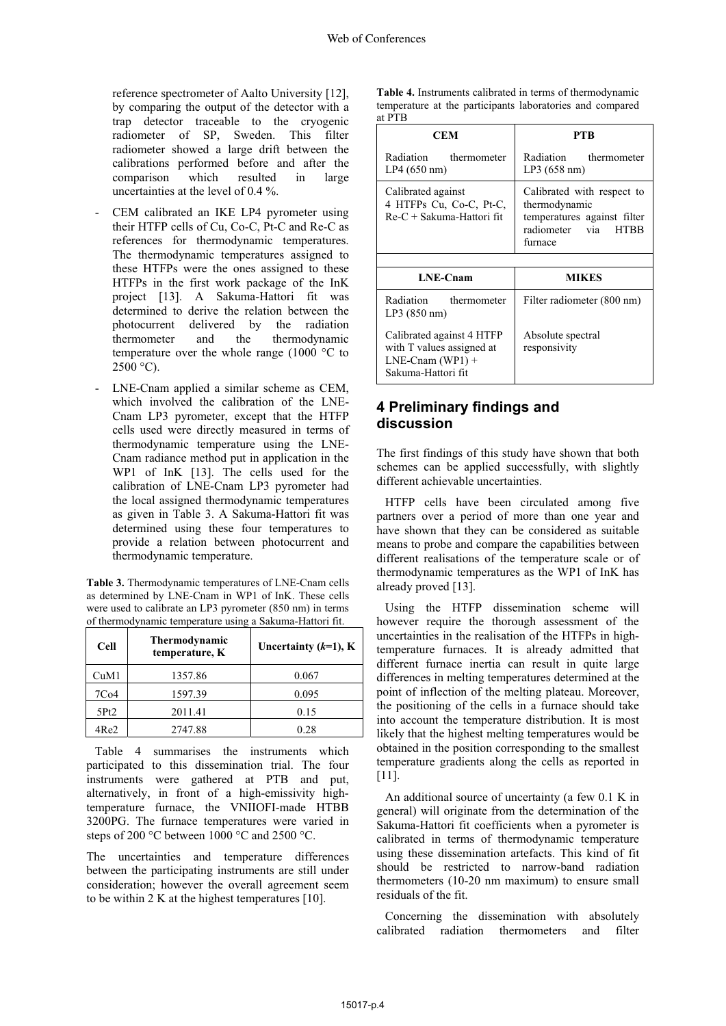reference spectrometer of Aalto University [12], by comparing the output of the detector with a trap detector traceable to the cryogenic radiometer of SP, Sweden. This filter radiometer showed a large drift between the calibrations performed before and after the comparison which resulted in large uncertainties at the level of 0.4 %.

- CEM calibrated an IKE LP4 pyrometer using their HTFP cells of Cu, Co-C, Pt-C and Re-C as references for thermodynamic temperatures. The thermodynamic temperatures assigned to these HTFPs were the ones assigned to these HTFPs in the first work package of the InK project [13]. A Sakuma-Hattori fit was determined to derive the relation between the photocurrent delivered by the radiation thermometer and the thermodynamic temperature over the whole range (1000 °C to  $2500 °C$ ).
- LNE-Cnam applied a similar scheme as CEM, which involved the calibration of the LNE-Cnam LP3 pyrometer, except that the HTFP cells used were directly measured in terms of thermodynamic temperature using the LNE-Cnam radiance method put in application in the WP1 of InK [13]. The cells used for the calibration of LNE-Cnam LP3 pyrometer had the local assigned thermodynamic temperatures as given in Table 3. A Sakuma-Hattori fit was determined using these four temperatures to provide a relation between photocurrent and thermodynamic temperature.

**Table 3.** Thermodynamic temperatures of LNE-Cnam cells as determined by LNE-Cnam in WP1 of InK. These cells were used to calibrate an LP3 pyrometer (850 nm) in terms of thermodynamic temperature using a Sakuma-Hattori fit.

| <b>Cell</b>      | <b>Thermodynamic</b><br>temperature, K | Uncertainty $(k=1)$ , K |
|------------------|----------------------------------------|-------------------------|
| CuM1             | 1357.86                                | 0.067                   |
| 7C <sub>04</sub> | 1597.39                                | 0.095                   |
| 5Pt2             | 2011.41                                | 0.15                    |
| 4Re2             | 2747.88                                | 0.28                    |

 Table 4 summarises the instruments which participated to this dissemination trial. The four instruments were gathered at PTB and put, alternatively, in front of a high-emissivity hightemperature furnace, the VNIIOFI-made HTBB 3200PG. The furnace temperatures were varied in steps of 200 °C between 1000 °C and 2500 °C.

The uncertainties and temperature differences between the participating instruments are still under consideration; however the overall agreement seem to be within 2 K at the highest temperatures [10].

**Table 4.** Instruments calibrated in terms of thermodynamic temperature at the participants laboratories and compared at PTB

| CEM                                                                          | PTR                                                                                                                    |
|------------------------------------------------------------------------------|------------------------------------------------------------------------------------------------------------------------|
| Radiation thermometer<br>LP4 (650 nm)                                        | Radiation thermometer<br>LP3(658 nm)                                                                                   |
| Calibrated against<br>4 HTFPs Cu, Co-C, Pt-C,<br>$Re-C + Sakuma-Hattori fit$ | Calibrated with respect to<br>thermodynamic<br>temperatures against filter<br>radiometer via<br><b>HTBB</b><br>furnace |
|                                                                              |                                                                                                                        |
|                                                                              |                                                                                                                        |
| <b>LNE-Cnam</b>                                                              | <b>MIKES</b>                                                                                                           |
| Radiation thermometer<br>LP3 (850 nm)                                        | Filter radiometer (800 nm)                                                                                             |

### **4 Preliminary findings and discussion**

The first findings of this study have shown that both schemes can be applied successfully, with slightly different achievable uncertainties.

 HTFP cells have been circulated among five partners over a period of more than one year and have shown that they can be considered as suitable means to probe and compare the capabilities between different realisations of the temperature scale or of thermodynamic temperatures as the WP1 of InK has already proved [13].

 Using the HTFP dissemination scheme will however require the thorough assessment of the uncertainties in the realisation of the HTFPs in hightemperature furnaces. It is already admitted that different furnace inertia can result in quite large differences in melting temperatures determined at the point of inflection of the melting plateau. Moreover, the positioning of the cells in a furnace should take into account the temperature distribution. It is most likely that the highest melting temperatures would be obtained in the position corresponding to the smallest temperature gradients along the cells as reported in [11].

 An additional source of uncertainty (a few 0.1 K in general) will originate from the determination of the Sakuma-Hattori fit coefficients when a pyrometer is calibrated in terms of thermodynamic temperature using these dissemination artefacts. This kind of fit should be restricted to narrow-band radiation thermometers (10-20 nm maximum) to ensure small residuals of the fit.

 Concerning the dissemination with absolutely calibrated radiation thermometers and filter